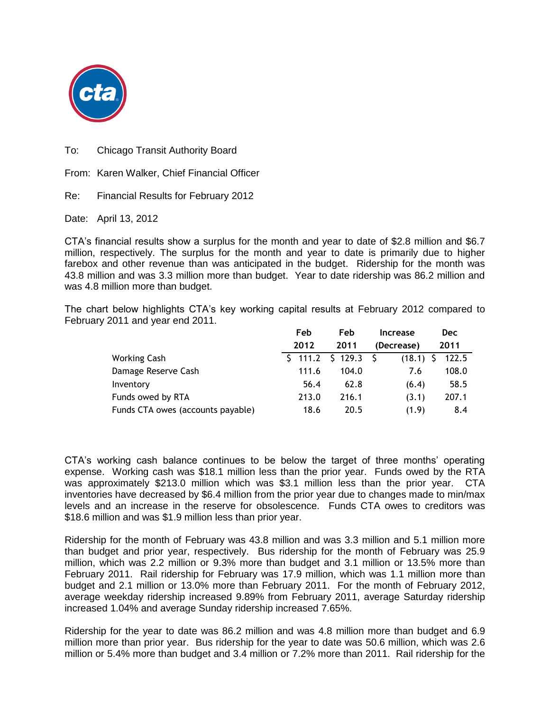

To: Chicago Transit Authority Board

From: Karen Walker, Chief Financial Officer

Re: Financial Results for February 2012

Date: April 13, 2012

CTA's financial results show a surplus for the month and year to date of \$2.8 million and \$6.7 million, respectively. The surplus for the month and year to date is primarily due to higher farebox and other revenue than was anticipated in the budget. Ridership for the month was 43.8 million and was 3.3 million more than budget. Year to date ridership was 86.2 million and was 4.8 million more than budget.

The chart below highlights CTA's key working capital results at February 2012 compared to February 2011 and year end 2011.

|                                   | Feb               | Feb   | <b>Increase</b>    | <b>Dec</b> |
|-----------------------------------|-------------------|-------|--------------------|------------|
|                                   | 2012              | 2011  | (Decrease)         | 2011       |
| <b>Working Cash</b>               | $$111.2 \t$129.3$ |       | - S<br>$(18.1)$ \$ | 122.5      |
| Damage Reserve Cash               | 111.6             | 104.0 | 7.6                | 108.0      |
| Inventory                         | 56.4              | 62.8  | (6.4)              | 58.5       |
| Funds owed by RTA                 | 213.0             | 216.1 | (3.1)              | 207.1      |
| Funds CTA owes (accounts payable) | 18.6              | 20.5  | (1.9)              | 8.4        |

CTA's working cash balance continues to be below the target of three months' operating expense. Working cash was \$18.1 million less than the prior year. Funds owed by the RTA was approximately \$213.0 million which was \$3.1 million less than the prior year. CTA inventories have decreased by \$6.4 million from the prior year due to changes made to min/max levels and an increase in the reserve for obsolescence. Funds CTA owes to creditors was \$18.6 million and was \$1.9 million less than prior year.

Ridership for the month of February was 43.8 million and was 3.3 million and 5.1 million more than budget and prior year, respectively. Bus ridership for the month of February was 25.9 million, which was 2.2 million or 9.3% more than budget and 3.1 million or 13.5% more than February 2011. Rail ridership for February was 17.9 million, which was 1.1 million more than budget and 2.1 million or 13.0% more than February 2011. For the month of February 2012, average weekday ridership increased 9.89% from February 2011, average Saturday ridership increased 1.04% and average Sunday ridership increased 7.65%.

Ridership for the year to date was 86.2 million and was 4.8 million more than budget and 6.9 million more than prior year. Bus ridership for the year to date was 50.6 million, which was 2.6 million or 5.4% more than budget and 3.4 million or 7.2% more than 2011. Rail ridership for the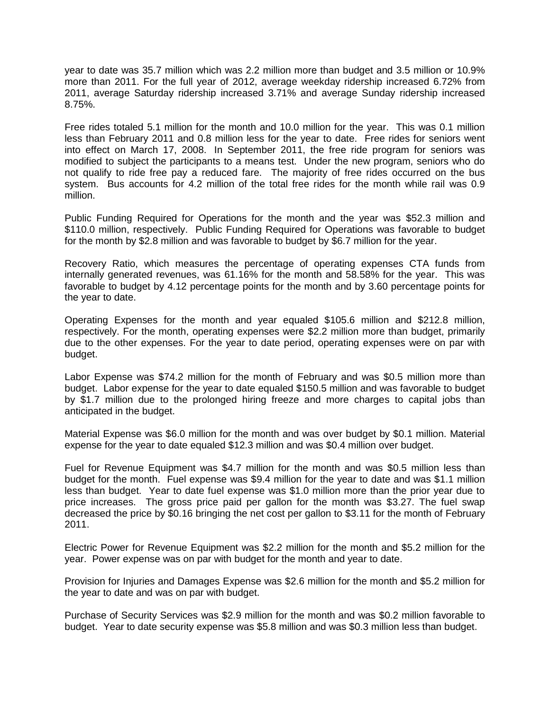year to date was 35.7 million which was 2.2 million more than budget and 3.5 million or 10.9% more than 2011. For the full year of 2012, average weekday ridership increased 6.72% from 2011, average Saturday ridership increased 3.71% and average Sunday ridership increased 8.75%.

Free rides totaled 5.1 million for the month and 10.0 million for the year. This was 0.1 million less than February 2011 and 0.8 million less for the year to date. Free rides for seniors went into effect on March 17, 2008. In September 2011, the free ride program for seniors was modified to subject the participants to a means test. Under the new program, seniors who do not qualify to ride free pay a reduced fare. The majority of free rides occurred on the bus system. Bus accounts for 4.2 million of the total free rides for the month while rail was 0.9 million.

Public Funding Required for Operations for the month and the year was \$52.3 million and \$110.0 million, respectively. Public Funding Required for Operations was favorable to budget for the month by \$2.8 million and was favorable to budget by \$6.7 million for the year.

Recovery Ratio, which measures the percentage of operating expenses CTA funds from internally generated revenues, was 61.16% for the month and 58.58% for the year. This was favorable to budget by 4.12 percentage points for the month and by 3.60 percentage points for the year to date.

Operating Expenses for the month and year equaled \$105.6 million and \$212.8 million, respectively. For the month, operating expenses were \$2.2 million more than budget, primarily due to the other expenses. For the year to date period, operating expenses were on par with budget.

Labor Expense was \$74.2 million for the month of February and was \$0.5 million more than budget. Labor expense for the year to date equaled \$150.5 million and was favorable to budget by \$1.7 million due to the prolonged hiring freeze and more charges to capital jobs than anticipated in the budget.

Material Expense was \$6.0 million for the month and was over budget by \$0.1 million. Material expense for the year to date equaled \$12.3 million and was \$0.4 million over budget.

Fuel for Revenue Equipment was \$4.7 million for the month and was \$0.5 million less than budget for the month. Fuel expense was \$9.4 million for the year to date and was \$1.1 million less than budget. Year to date fuel expense was \$1.0 million more than the prior year due to price increases. The gross price paid per gallon for the month was \$3.27. The fuel swap decreased the price by \$0.16 bringing the net cost per gallon to \$3.11 for the month of February 2011.

Electric Power for Revenue Equipment was \$2.2 million for the month and \$5.2 million for the year. Power expense was on par with budget for the month and year to date.

Provision for Injuries and Damages Expense was \$2.6 million for the month and \$5.2 million for the year to date and was on par with budget.

Purchase of Security Services was \$2.9 million for the month and was \$0.2 million favorable to budget. Year to date security expense was \$5.8 million and was \$0.3 million less than budget.